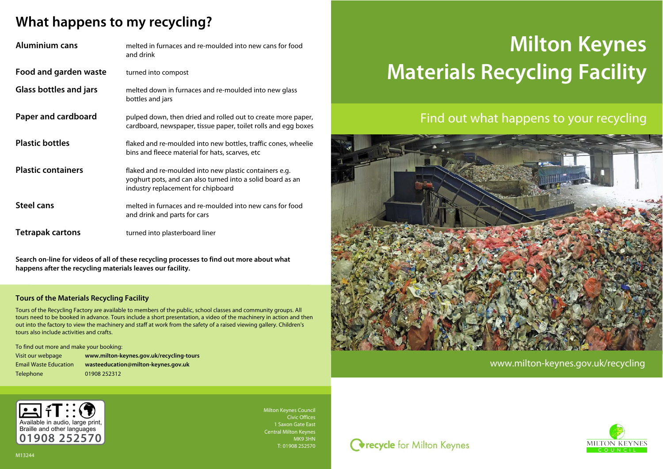

Milton Keynes Council Civic Offices 1 Saxon Gate East Central Milton Keynes MK9 3HN T: 01908 252570



# **What happens to my recycling?**

| <b>Aluminium cans</b>         | melted in furnaces and re-moulded into new cans for food<br>and drink                                                                                      |
|-------------------------------|------------------------------------------------------------------------------------------------------------------------------------------------------------|
| Food and garden waste         | turned into compost                                                                                                                                        |
| <b>Glass bottles and jars</b> | melted down in furnaces and re-moulded into new glass<br>bottles and jars                                                                                  |
| Paper and cardboard           | pulped down, then dried and rolled out to create more paper,<br>cardboard, newspaper, tissue paper, toilet rolls and egg boxes                             |
| <b>Plastic bottles</b>        | flaked and re-moulded into new bottles, traffic cones, wheelie<br>bins and fleece material for hats, scarves, etc                                          |
| <b>Plastic containers</b>     | flaked and re-moulded into new plastic containers e.g.<br>yoghurt pots, and can also turned into a solid board as an<br>industry replacement for chipboard |
| <b>Steel cans</b>             | melted in furnaces and re-moulded into new cans for food<br>and drink and parts for cars                                                                   |
| <b>Tetrapak cartons</b>       | turned into plasterboard liner                                                                                                                             |

**Search on-line for videos of all of these recycling processes to find out more about what happens after the recycling materials leaves our facility.**

#### **Tours of the Materials Recycling Facility**

Tours of the Recycling Factory are available to members of the public, school classes and community groups. All tours need to be booked in advance. Tours include a short presentation, a video of the machinery in action and then out into the factory to view the machinery and staff at work from the safety of a raised viewing gallery. Children's tours also include activities and crafts.

To find out more and make your booking:

Visit our webpage **www.milton-keynes.gov.uk/recycling-tours** Email Waste Education **wasteeducation@milton-keynes.gov.uk**

Telephone 01908 252312

## Find out what happens to your recycling



# **Milton Keynes Materials Recycling Facility**

www.milton-keynes.gov.uk/recycling